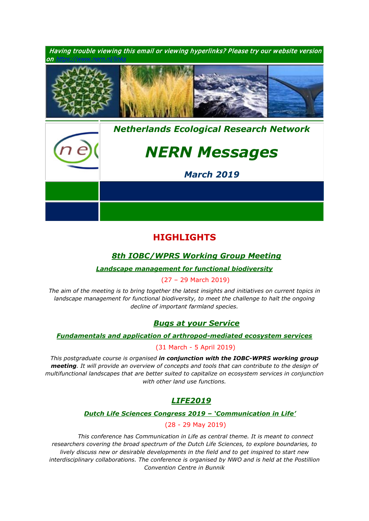

# **HIGHLIGHTS**

## *1. [8th IOBC/WPRS Working Group Meeting](https://www.pe-rc.nl/IOBC-WPRS-meeting)*

## *[Landscape management for functional biodiversity](https://www.pe-rc.nl/IOBC-WPRS-meeting)*

### 2. (27 – 29 March 2019)

*The aim of the meeting is to bring together the latest insights and initiatives on current topics in*  landscape management for functional biodiversity, to meet the challenge to halt the ongoing *decline of important farmland species.*

## *1. [Bugs at your Service](https://www.pe-rc.nl/bugs)*

### *[Fundamentals and application of arthropod-mediated ecosystem services](https://www.pe-rc.nl/bugs)*

## 2. (31 March - 5 April 2019)

*This postgraduate course is organised in conjunction with the IOBC-WPRS working group meeting. It will provide an overview of concepts and tools that can contribute to the design of multifunctional landscapes that are better suited to capitalize on ecosystem services in conjunction with other land use functions.*

## *[LIFE2019](https://nwolife.nl/)*

## *[Dutch Life Sciences Congress 2019 –](https://nwolife.nl/) 'Communication in Life'*

### 3. (28 - 29 May 2019)

*4. This conference has Communication in Life as central theme. It is meant to connect researchers covering the broad spectrum of the Dutch Life Sciences, to explore boundaries, to lively discuss new or desirable developments in the field and to get inspired to start new interdisciplinary collaborations. The conference is organised by NWO and is held at the Postillion Convention Centre in Bunnik*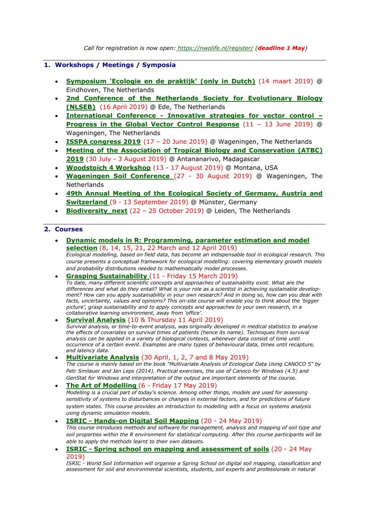### **1. Workshops / Meetings / Symposia**

- **[Symposium 'Ecologie en de praktijk'](https://www.ecologica.eu/blz/symposium.html) (only in Dutch)** (14 maart 2019) @ Eindhoven, The Netherlands
- **[2nd Conference of the Netherlands Society for Evolutionary Biology](http://nlseb.nl/meetings/)  [\(NLSEB\)](http://nlseb.nl/meetings/)** (16 April 2019) @ Ede, The Netherlands
- **International Conference - [Innovative strategies for vector control –](https://www.gvcr-2019.com/) [Progress in the Global Vector Control Response](https://www.gvcr-2019.com/)** (11 – 13 June 2019) @ Wageningen, The Netherlands
- **[ISSPA congress 2019](https://www.isspa2019.com/)** (17 20 June 2019) @ Wageningen, The Netherlands
- **[Meeting of the Association of Tropical Biology and Conservation \(ATBC\)](https://atbc2019.org/)  [2019](https://atbc2019.org/)** (30 July - 3 August 2019) @ Antananarivo, Madagascar
- **[Woodstoich 4 Workshop](https://www.nern.nl/sites/default/files/Woodstoich4_Advertisement.pdf)** (13 17 August 2019) @ Montana, USA
- **[Wageningen Soil Conference](https://wageningensoilconference.eu/2019)** (27 30 August 2019) @ Wageningen, The Netherlands
- **[49th Annual Meeting of the Ecological Society of Germany, Austria and](https://www.gfoe-conference.de/)  [Switzerland](https://www.gfoe-conference.de/)** (9 - 13 September 2019) @ Münster, Germany
- **[Biodiversity\\_next](https://biodiversitynext.org/)** (22 25 October 2019) @ Leiden, The Netherlands

### **2. Courses**

- **[Dynamic models in R: Programming, parameter estimation and model](https://www.pe-rc.nl/postgraduate-courses/dynamic-models-in-r)  [selection](https://www.pe-rc.nl/postgraduate-courses/dynamic-models-in-r)** (8, 14, 15, 21, 22 March and 12 April 2019) *Ecological modelling, based on field data, has become an indispensable tool in ecological research. This course presents a conceptual framework for ecological modelling: covering elementary growth models and probability distributions needed to mathematically model processes.*
- **[Grasping Sustainability](http://www.sense.nl/courses/past/10844532/Grasping-Sustainability)** (11 Friday 15 March 2019) *To date, many different scientific concepts and approaches of sustainability exist. What are the differences and what do they entail? What is your role as a scientist in achieving sustainable development? How can you apply sustainability in your own research? And in doing so, how can you deal with facts, uncertainty, values and opinions? This on-site course will enable you to think about the 'bigger picture', grasp sustainability and to apply concepts and approaches to your own research, in a collaborative learning environment, away from 'office'.*
- **[Survival Analysis](https://www.pe-rc.nl/survival-analysis)** (10 & Thursday 11 April 2019) *Survival analysis, or time-to-event analysis, was originally developed in medical statistics to analyse the effects of covariates on survival times of patients (hence its name). Techniques from survival*  analysis can be applied in a variety of biological contexts, whenever data consist of time until *occurrence of a certain event. Examples are many types of behavioural data, times until recapture, and latency data.*
- **[Multivariate Analysis](https://www.pe-rc.nl/postgraduate-courses/multivariate-analysis)** (30 April, 1, 2, 7 and 8 May 2019) *The course is mainly based on the book "Multivariate Analysis of Ecological Data Using CANOCO 5" by Petr Smilauer and Jan Leps (2014). Practical exercises, the use of Canoco for Windows (4.5) and GenStat for Windows and interpretation of the output are important elements of the course.*
- **[The Art of Modelling](https://www.pe-rc.nl/postgraduate-courses/art-of-modelling)** (6 Friday 17 May 2019) *Modelling is a crucial part of today's science. Among other things, models are used for assessing sensitivity of systems to disturbances or changes in external factors, and for predictions of future system states. This course provides an introduction to modelling with a focus on systems analysis using dynamic simulation models.*
- **ISRIC - [Hands-on Digital Soil Mapping](http://www.isric.org/utilise/capacity-building/springschool/wsa)** (20 24 May 2019) *This course introduces methods and software for management, analysis and mapping of soil type and soil properties within the R environment for statistical computing. After this course participants will be able to apply the methods learnt to their own datasets.*
- **ISRIC - [Spring school on mapping and assessment of soils](http://www.isric.org/utilise/capacity-building/springschool/wsa)** (20 24 May 2019)

*ISRIC - World Soil Information will organise a Spring School on digital soil mapping, classification and assessment for soil and environmental scientists, students, soil experts and professionals in natural*